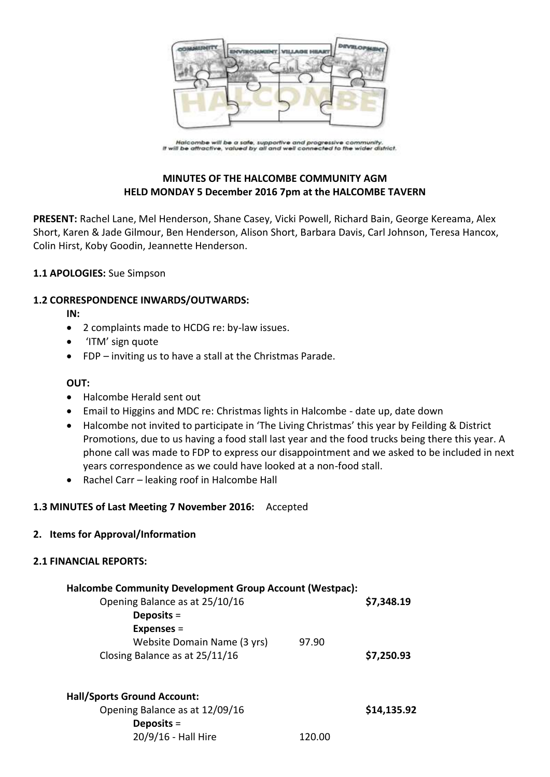

.<br>Halcombe will be a safe, supportive and progressive community.<br>It will be attractive, valued by all and well connected to the wider district.

# **MINUTES OF THE HALCOMBE COMMUNITY AGM HELD MONDAY 5 December 2016 7pm at the HALCOMBE TAVERN**

**PRESENT:** Rachel Lane, Mel Henderson, Shane Casey, Vicki Powell, Richard Bain, George Kereama, Alex Short, Karen & Jade Gilmour, Ben Henderson, Alison Short, Barbara Davis, Carl Johnson, Teresa Hancox, Colin Hirst, Koby Goodin, Jeannette Henderson.

### **1.1 APOLOGIES:** Sue Simpson

#### **1.2 CORRESPONDENCE INWARDS/OUTWARDS:**

**IN:** 

- 2 complaints made to HCDG re: by-law issues.
- 'ITM' sign quote
- FDP inviting us to have a stall at the Christmas Parade.

#### **OUT:**

- Halcombe Herald sent out
- Email to Higgins and MDC re: Christmas lights in Halcombe date up, date down
- Halcombe not invited to participate in 'The Living Christmas' this year by Feilding & District Promotions, due to us having a food stall last year and the food trucks being there this year. A phone call was made to FDP to express our disappointment and we asked to be included in next years correspondence as we could have looked at a non-food stall.
- Rachel Carr leaking roof in Halcombe Hall

## **1.3 MINUTES of Last Meeting 7 November 2016:** Accepted

#### **2. Items for Approval/Information**

#### **2.1 FINANCIAL REPORTS:**

| <b>Halcombe Community Development Group Account (Westpac):</b><br>Opening Balance as at 25/10/16<br>Deposits $=$ |       | \$7,348.19  |
|------------------------------------------------------------------------------------------------------------------|-------|-------------|
| <b>Expenses =</b>                                                                                                |       |             |
| Website Domain Name (3 yrs)                                                                                      | 97.90 |             |
| Closing Balance as at 25/11/16                                                                                   |       | \$7,250.93  |
| <b>Hall/Sports Ground Account:</b><br>Opening Balance as at 12/09/16<br>Deposits $=$                             |       | \$14,135.92 |

20/9/16 - Hall Hire 120.00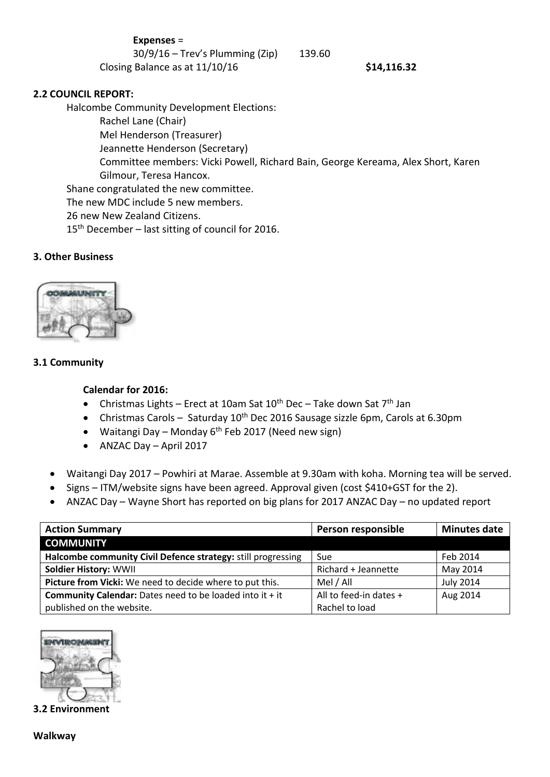| <b>Expenses =</b> |
|-------------------|
|-------------------|

30/9/16 – Trev's Plumming (Zip) 139.60

Closing Balance as at 11/10/16 **\$14,116.32**

# **2.2 COUNCIL REPORT:**

Halcombe Community Development Elections: Rachel Lane (Chair) Mel Henderson (Treasurer) Jeannette Henderson (Secretary) Committee members: Vicki Powell, Richard Bain, George Kereama, Alex Short, Karen Gilmour, Teresa Hancox. Shane congratulated the new committee. The new MDC include 5 new members. 26 new New Zealand Citizens. 15<sup>th</sup> December – last sitting of council for 2016.

# **3. Other Business**



### **3.1 Community**

### **Calendar for 2016:**

- Christmas Lights Erect at 10am Sat  $10^{th}$  Dec Take down Sat  $7^{th}$  Jan
- Christmas Carols Saturday 10<sup>th</sup> Dec 2016 Sausage sizzle 6pm, Carols at 6.30pm
- Waitangi Day Monday  $6<sup>th</sup>$  Feb 2017 (Need new sign)
- ANZAC Day April 2017
- Waitangi Day 2017 Powhiri at Marae. Assemble at 9.30am with koha. Morning tea will be served.
- Signs ITM/website signs have been agreed. Approval given (cost \$410+GST for the 2).
- ANZAC Day Wayne Short has reported on big plans for 2017 ANZAC Day no updated report

| <b>Action Summary</b>                                             | Person responsible     | <b>Minutes date</b> |
|-------------------------------------------------------------------|------------------------|---------------------|
| <b>COMMUNITY</b>                                                  |                        |                     |
| Halcombe community Civil Defence strategy: still progressing      | Sue                    | Feb 2014            |
| <b>Soldier History: WWII</b>                                      | Richard + Jeannette    | May 2014            |
| Picture from Vicki: We need to decide where to put this.          | Mel / All              | <b>July 2014</b>    |
| <b>Community Calendar:</b> Dates need to be loaded into it $+$ it | All to feed-in dates + | Aug 2014            |
| published on the website.                                         | Rachel to load         |                     |



**3.2 Environment**

**Walkway**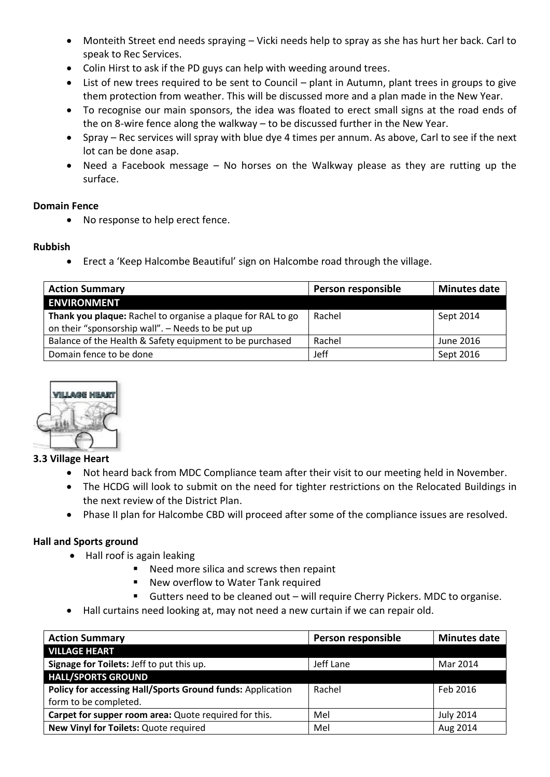- Monteith Street end needs spraying Vicki needs help to spray as she has hurt her back. Carl to speak to Rec Services.
- Colin Hirst to ask if the PD guys can help with weeding around trees.
- List of new trees required to be sent to Council plant in Autumn, plant trees in groups to give them protection from weather. This will be discussed more and a plan made in the New Year.
- To recognise our main sponsors, the idea was floated to erect small signs at the road ends of the on 8-wire fence along the walkway – to be discussed further in the New Year.
- Spray Rec services will spray with blue dye 4 times per annum. As above, Carl to see if the next lot can be done asap.
- Need a Facebook message No horses on the Walkway please as they are rutting up the surface.

## **Domain Fence**

No response to help erect fence.

# **Rubbish**

Erect a 'Keep Halcombe Beautiful' sign on Halcombe road through the village.

| <b>Action Summary</b>                                                                                            | Person responsible | <b>Minutes date</b> |
|------------------------------------------------------------------------------------------------------------------|--------------------|---------------------|
| <b>ENVIRONMENT</b>                                                                                               |                    |                     |
| Thank you plaque: Rachel to organise a plaque for RAL to go<br>on their "sponsorship wall". - Needs to be put up | Rachel             | Sept 2014           |
| Balance of the Health & Safety equipment to be purchased                                                         | Rachel             | June 2016           |
| Domain fence to be done                                                                                          | Jeff               | Sept 2016           |



## **3.3 Village Heart**

- Not heard back from MDC Compliance team after their visit to our meeting held in November.
- The HCDG will look to submit on the need for tighter restrictions on the Relocated Buildings in the next review of the District Plan.
- Phase II plan for Halcombe CBD will proceed after some of the compliance issues are resolved.

# **Hall and Sports ground**

- Hall roof is again leaking
	- **Need more silica and screws then repaint**
	- New overflow to Water Tank required
	- Gutters need to be cleaned out will require Cherry Pickers. MDC to organise.
- Hall curtains need looking at, may not need a new curtain if we can repair old.

| <b>Action Summary</b>                                      | Person responsible | <b>Minutes date</b> |
|------------------------------------------------------------|--------------------|---------------------|
| <b>VILLAGE HEART</b>                                       |                    |                     |
| Signage for Toilets: Jeff to put this up.                  | Jeff Lane          | Mar 2014            |
| <b>HALL/SPORTS GROUND</b>                                  |                    |                     |
| Policy for accessing Hall/Sports Ground funds: Application | Rachel             | Feb 2016            |
| form to be completed.                                      |                    |                     |
| Carpet for supper room area: Quote required for this.      | Mel                | <b>July 2014</b>    |
| New Vinyl for Toilets: Quote required                      | Mel                | Aug 2014            |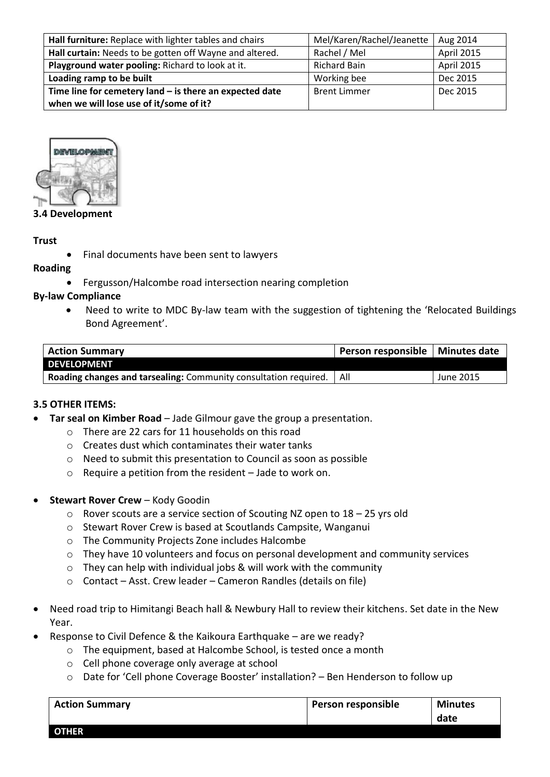| Hall furniture: Replace with lighter tables and chairs    | Mel/Karen/Rachel/Jeanette | Aug 2014   |
|-----------------------------------------------------------|---------------------------|------------|
| Hall curtain: Needs to be gotten off Wayne and altered.   | Rachel / Mel              | April 2015 |
| Playground water pooling: Richard to look at it.          | <b>Richard Bain</b>       | April 2015 |
| Loading ramp to be built                                  | Working bee               | Dec 2015   |
| Time line for cemetery land $-$ is there an expected date | <b>Brent Limmer</b>       | Dec 2015   |
| when we will lose use of it/some of it?                   |                           |            |



## **3.4 Development**

#### **Trust**

Final documents have been sent to lawyers

#### **Roading**

Fergusson/Halcombe road intersection nearing completion

#### **By-law Compliance**

 Need to write to MDC By-law team with the suggestion of tightening the 'Relocated Buildings Bond Agreement'.

| <b>Action Summary</b>                                                         | Person responsible   Minutes date |           |
|-------------------------------------------------------------------------------|-----------------------------------|-----------|
| <b>DEVELOPMENT</b>                                                            |                                   |           |
| <b>Roading changes and tarsealing:</b> Community consultation required.   All |                                   | June 2015 |

#### **3.5 OTHER ITEMS:**

- **Tar seal on Kimber Road** Jade Gilmour gave the group a presentation.
	- o There are 22 cars for 11 households on this road
	- o Creates dust which contaminates their water tanks
	- o Need to submit this presentation to Council as soon as possible
	- o Require a petition from the resident Jade to work on.
- **Stewart Rover Crew** Kody Goodin
	- o Rover scouts are a service section of Scouting NZ open to 18 25 yrs old
	- o Stewart Rover Crew is based at Scoutlands Campsite, Wanganui
	- o The Community Projects Zone includes Halcombe
	- o They have 10 volunteers and focus on personal development and community services
	- o They can help with individual jobs & will work with the community
	- o Contact Asst. Crew leader Cameron Randles (details on file)
- Need road trip to Himitangi Beach hall & Newbury Hall to review their kitchens. Set date in the New Year.
- Response to Civil Defence & the Kaikoura Earthquake are we ready?
	- o The equipment, based at Halcombe School, is tested once a month
	- o Cell phone coverage only average at school
	- o Date for 'Cell phone Coverage Booster' installation? Ben Henderson to follow up

| <b>Action Summary</b> | Person responsible | <b>Minutes</b> |
|-----------------------|--------------------|----------------|
|                       |                    | date           |
| <b>OTHER</b>          |                    |                |